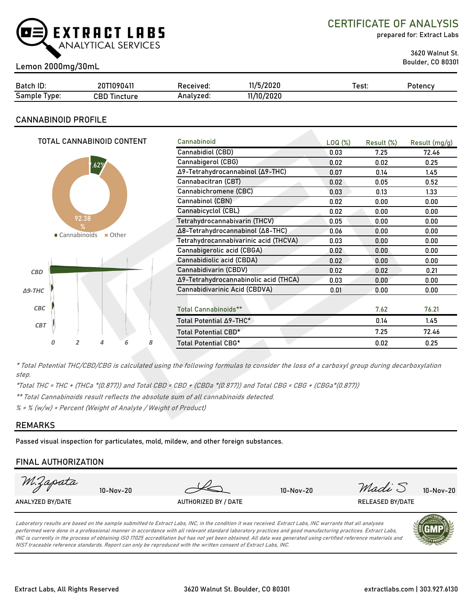

CERTIFICATE OF ANALYSIS

prepared for: Extract Labs

3620 Walnut St.

## Boulder, CO 80301 Lemon 2000mg/30mL

| Batch ID:       | 20T1090411          | Received: | 11/5/2020  | Test: | Potency |
|-----------------|---------------------|-----------|------------|-------|---------|
| Sample<br>Type: | <b>CBD Tincture</b> | Analvzed: | 11/10/2020 |       |         |

### **CANNABINOID PROFILE**

|                                             | TOTAL CANNABINOID CONTENT             |                                  |                       |      |                                       | Cannabinoid                      | LOQ( <sub>%</sub> ) | Result (%) | Result (mg/g) |
|---------------------------------------------|---------------------------------------|----------------------------------|-----------------------|------|---------------------------------------|----------------------------------|---------------------|------------|---------------|
|                                             |                                       |                                  |                       |      |                                       | Cannabidiol (CBD)                | 0.03                | 7.25       | 72.46         |
|                                             |                                       |                                  |                       |      |                                       | Cannabigerol (CBG)               | 0.02                | 0.02       | 0.25          |
|                                             |                                       |                                  | 1.62%                 |      |                                       | Δ9-Tetrahydrocannabinol (Δ9-THC) | 0.07                | 0.14       | 1.45          |
|                                             |                                       |                                  |                       |      |                                       | Cannabacitran (CBT)              | 0.02                | 0.05       | 0.52          |
|                                             |                                       |                                  |                       |      |                                       | Cannabichromene (CBC)            | 0.03                | 0.13       | 1.33          |
|                                             |                                       |                                  |                       |      |                                       | Cannabinol (CBN)                 | 0.02                | 0.00       | 0.00          |
|                                             |                                       |                                  |                       |      |                                       | Cannabicyclol (CBL)              | 0.02                | 0.00       | 0.00          |
|                                             |                                       | 92.38                            |                       |      |                                       | Tetrahydrocannabivarin (THCV)    | 0.05                | 0.00       | 0.00          |
| ℀<br>■ Cannabinoids<br>$\blacksquare$ Other |                                       | Δ8-Tetrahydrocannabinol (Δ8-THC) | 0.06                  | 0.00 | 0.00                                  |                                  |                     |            |               |
|                                             | Tetrahydrocannabivarinic acid (THCVA) | 0.03                             | 0.00                  | 0.00 |                                       |                                  |                     |            |               |
|                                             |                                       |                                  |                       |      |                                       | Cannabigerolic acid (CBGA)       | 0.02                | 0.00       | 0.00          |
|                                             |                                       |                                  |                       |      |                                       | Cannabidiolic acid (CBDA)        | 0.02                | 0.00       | 0.00          |
| CBD                                         |                                       |                                  | Cannabidivarin (CBDV) | 0.02 | 0.02                                  | 0.21                             |                     |            |               |
|                                             |                                       |                                  |                       |      | Δ9-Tetrahydrocannabinolic acid (THCA) | 0.03                             | 0.00                | 0.00       |               |
| $\triangle$ 9-THC                           |                                       |                                  |                       |      |                                       | Cannabidivarinic Acid (CBDVA)    | 0.01                | 0.00       | 0.00          |
|                                             |                                       |                                  |                       |      |                                       |                                  |                     |            |               |
| CBC                                         |                                       |                                  |                       |      |                                       | <b>Total Cannabinoids**</b>      |                     | 7.62       | 76.21         |
| <b>CBT</b>                                  |                                       |                                  |                       |      |                                       | Total Potential ∆9-THC*          |                     | 0.14       | 1.45          |
|                                             |                                       |                                  |                       |      |                                       | Total Potential CBD*             |                     | 7.25       | 72.46         |
|                                             | а                                     | 2                                | 4                     | 6    | 8                                     | <b>Total Potential CBG*</b>      |                     | 0.02       | 0.25          |
|                                             |                                       |                                  |                       |      |                                       |                                  |                     |            |               |

\* Total Potential THC/CBD/CBG is calculated using the following formulas to consider the loss of a carboxyl group during decarboxylation step.

\*Total THC = THC + (THCa \*(0.877)) and Total CBD = CBD + (CBDa \*(0.877)) and Total CBG = CBG + (CBGa\*(0.877))

\*\* Total Cannabinoids result reflects the absolute sum of all cannabinoids detected.

% = % (w/w) = Percent (Weight of Analyte / Weight of Product)

### **REMARKS**

Passed visual inspection for particulates, mold, mildew, and other foreign substances.

## **FINAL AUTHORIZATION**

| M.Zapata         | $10-Nov-20$ |                      | $10-Nov-20$ | Madi S                  | 10-Nov-20       |
|------------------|-------------|----------------------|-------------|-------------------------|-----------------|
| ANALYZED BY/DATE |             | AUTHORIZED BY / DATE |             | <b>RELEASED BY/DATE</b> |                 |
|                  |             |                      |             |                         | $A$ <b>CTUD</b> |

Laboratory results are based on the sample submitted to Extract Labs, INC, in the condition it was received. Extract Labs, INC warrants that all analyses performed were done in a professional manner in accordance with all relevant standard laboratory practices and good manufacturing practices. Extract Labs, INC is currently in the process of obtaining ISO 17025 accreditation but has not yet been obtained. All data was generated using certified reference materials and NIST traceable reference standards. Report can only be reproduced with the written consent of Extract Labs, INC.

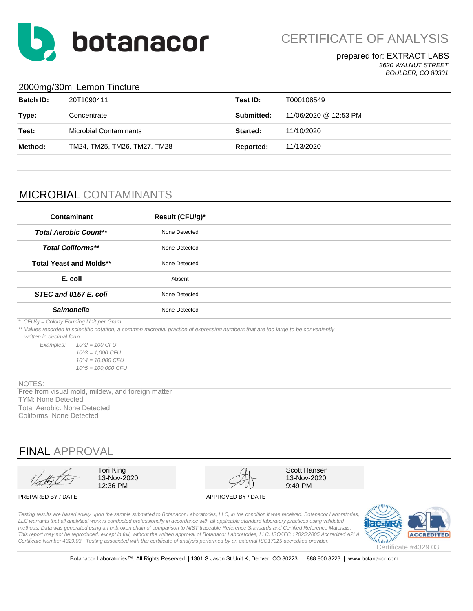

CERTIFICATE OF ANALYSIS

### prepared for: EXTRACT LABS *3620 WALNUT STREET BOULDER, CO 80301*

### 2000mg/30ml Lemon Tincture

| <b>Batch ID:</b> | 20T1090411                    | Test ID:          | T000108549            |
|------------------|-------------------------------|-------------------|-----------------------|
| Type:            | Concentrate                   | <b>Submitted:</b> | 11/06/2020 @ 12:53 PM |
| Test:            | <b>Microbial Contaminants</b> | Started:          | 11/10/2020            |
| Method:          | TM24, TM25, TM26, TM27, TM28  | Reported:         | 11/13/2020            |
|                  |                               |                   |                       |

# MICROBIAL CONTAMINANTS

| Contaminant                    | Result (CFU/g)* |  |
|--------------------------------|-----------------|--|
| <b>Total Aerobic Count**</b>   | None Detected   |  |
| <b>Total Coliforms**</b>       | None Detected   |  |
| <b>Total Yeast and Molds**</b> | None Detected   |  |
| E. coli                        | Absent          |  |
| STEC and 0157 E. coli          | None Detected   |  |
| <b>Salmonella</b>              | None Detected   |  |

*\* CFU/g = Colony Forming Unit per Gram*

\*\* Values recorded in scientific notation, a common microbial practice of expressing numbers that are too large to be conveniently

 *written in decimal form.*

*Examples: 10^2 = 100 CFU 10^3 = 1,000 CFU 10^4 = 10,000 CFU 10^5 = 100,000 CFU*

#### NOTES:

Total Aerobic: None Detected Coliforms: None Detected TYM: None Detected Free from visual mold, mildew, and foreign matter

# FINAL APPROVAL

Tori King 13-Nov-2020 12:36 PM

Scott Hansen 13-Nov-2020 9:49 PM

### PREPARED BY / DATE APPROVED BY / DATE

*Testing results are based solely upon the sample submitted to Botanacor Laboratories, LLC, in the condition it was received. Botanacor Laboratories,*  LLC warrants that all analytical work is conducted professionally in accordance with all applicable standard laboratory practices using validated *methods. Data was generated using an unbroken chain of comparison to NIST traceable Reference Standards and Certified Reference Materials. This report may not be reproduced, except in full, without the written approval of Botanacor Laboratories, LLC. ISO/IEC 17025:2005 Accredited A2LA Certificate Number 4329.03. Testing associated with this certificate of analysis performed by an external ISO17025 accredited provider.*



Botanacor Laboratories™, All Rights Reserved | 1301 S Jason St Unit K, Denver, CO 80223 | 888.800.8223 | www.botanacor.com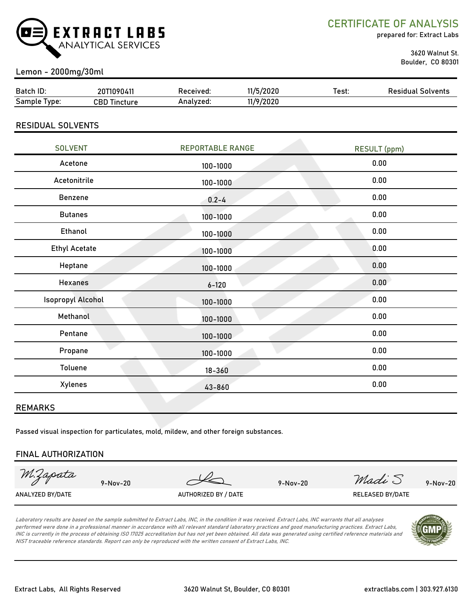

CERTIFICATE OF ANALYSIS

prepared for: Extract Labs

 3620 Walnut St. Boulder, CO 80301

## Lemon - 2000mg/30ml

| Batch ID:        | 20T1090411          | Received: | 11/5/2020 | Test. | <b>Residual Solvents</b> |
|------------------|---------------------|-----------|-----------|-------|--------------------------|
| Sample<br>I vpe: | <b>CBD Tincture</b> | Analvzed: | 11/9/2020 |       |                          |
|                  |                     |           |           |       |                          |

### RESIDUAL SOLVENTS

| <b>SOLVENT</b>           | <b>REPORTABLE RANGE</b> | <b>RESULT</b> (ppm) |
|--------------------------|-------------------------|---------------------|
| Acetone                  | 100-1000                | 0.00                |
| Acetonitrile             | 100-1000                | 0.00                |
| Benzene                  | $0.2 - 4$               | 0.00                |
| <b>Butanes</b>           | 100-1000                | 0.00                |
| Ethanol                  | 100-1000                | 0.00                |
| <b>Ethyl Acetate</b>     | 100-1000                | 0.00                |
| Heptane                  | 100-1000                | 0.00                |
| <b>Hexanes</b>           | $6 - 120$               | 0.00                |
| <b>Isopropyl Alcohol</b> | 100-1000                | 0.00                |
| Methanol                 | 100-1000                | 0.00                |
| Pentane                  | 100-1000                | 0.00                |
| Propane                  | 100-1000                | 0.00                |
| Toluene                  | $18 - 360$              | 0.00                |
| Xylenes                  | 43-860                  | 0.00                |
|                          |                         |                     |

### REMARKS

Passed visual inspection for particulates, mold, mildew, and other foreign substances.

### FINAL AUTHORIZATION

M.Zapata

9-Nov-20 9-Nov-20 9-Nov-20  $Md\alpha\omega$  9-Nov-20

ANALYZED BY/DATE AUTHORIZED BY / DATE AUTHORIZED BY / DATE RELEASED BY/DATE

Laboratory results are based on the sample submitted to Extract Labs, INC, in the condition it was received. Extract Labs, INC warrants that all analyses performed were done in a professional manner in accordance with all relevant standard laboratory practices and good manufacturing practices. Extract Labs, INC is currently in the process of obtaining ISO 17025 accreditation but has not yet been obtained. All data was generated using certified reference materials and NIST traceable reference standards. Report can only be reproduced with the written consent of Extract Labs, INC.